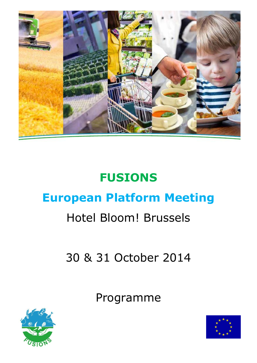

# **FUSIONS European Platform Meeting**

# Hotel Bloom! Brussels

30 & 31 October 2014

Programme



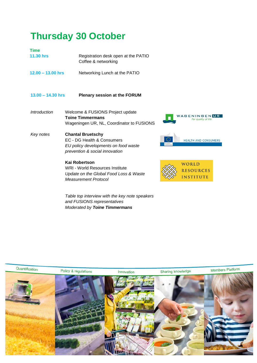## **Thursday 30 October**

| <b>Time</b>         |                                                            |
|---------------------|------------------------------------------------------------|
| <b>11.30 hrs</b>    | Registration desk open at the PATIO<br>Coffee & networking |
| $12.00 - 13.00$ hrs | Networking Lunch at the PATIO                              |
| $13.00 - 14.30$ hrs | <b>Plenary session at the FORUM</b>                        |

- *Introduction* Welcome & FUSIONS Project update **Toine Timmermans** Wageningen UR, NL, Coordinator to FUSIONS
- *Key notes* **Chantal Bruetschy** EC - DG Health & Consumers *EU policy developments on food waste prevention & social innovation*

#### **Kai Robertson**

WRI - World Resources Institute *Update on the Global Food Loss & Waste Measurement Protocol*





*Table top interview with the key note speakers and FUSIONS representatives Moderated by Toine Timmermans*

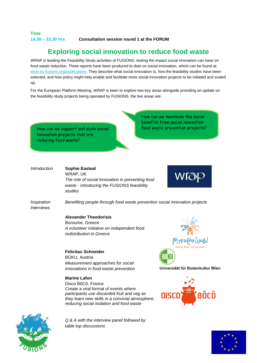### **Time**

**14.30 – 15.30 hrs Consultation session round 1 at the FORUM**

### **Exploring social innovation to reduce food waste**

WRAP is leading the Feasibility Study activities of FUSIONS, testing the impact social innovation can have on food waste reduction. Three reports have been produced to date on social innovation, which can be found at [www.eu-fusions.org/publications.](http://www.eu-fusions.org/publications) They describe what social innovation is, how the feasibility studies have been selected, and how policy might help enable and facilitate more social innovation projects to be initiated and scaled up.

For the European Platform Meeting, WRAP is keen to explore two key areas alongside providing an update on the feasibility study projects being operated by FUSIONS, the two areas are:

How can we support and scale social food waste prevention projects? innovation projects that are reducing food waste?

How can we maximise the social benefits from social innovation

#### *Introduction* **Sophie Easteal** WRAP, UK

*The role of social innovation in preventing food waste - introducing the FUSIONS feasibility studies*

*Inspiration Interviews*

*Benefiting people through food waste prevention social innovation projects*

**Alexander Theodorisis** Boroume, Greece *A volunteer initiative on independent food redistribution in Greece*

**Felicitas Schneider**  BOKU, Austria *Measurement approaches for social innovations in food waste prevention*

#### **Marine Lafon**

Disco BôCô, France *Create a viral format of events where participants use discarded fruit and veg as they learn new skills in a convivial atmosphere, reducing social isolation and food waste*

*Q & A with the interview panel followed by table top discussions*



Universität für Bodenkultur Wien





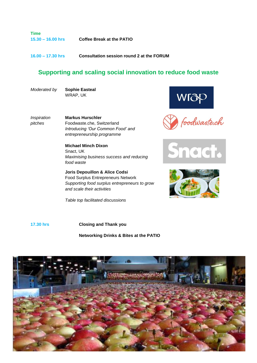**Time 15.30 – 16.00 hrs Coffee Break at the PATIO**

**16.00 – 17.30 hrs Consultation session round 2 at the FORUM**

### **Supporting and scaling social innovation to reduce food waste**

*Moderated by* **Sophie Easteal** WRAP, UK

*Inspiration pitches*

**Markus Hurschler** Foodwaste.che, Switzerland *Introducing 'Our Common Food' and entrepreneurship programme*

**Michael Minch Dixon** Snact, UK *Maximising business success and reducing food waste*

**Joris Depouillon & Alice Codsi**  Food Surplus Entrepreneurs Network *Supporting food surplus entrepreneurs to grow and scale their activities*

*Table top facilitated discussions*









#### **17.30 hrs Closing and Thank you**

**Networking Drinks & Bites at the PATIO**

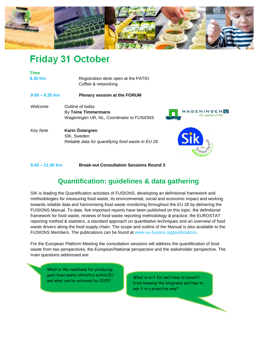

## **Friday 31 October**

| <b>Time</b>       |                                                   |                                           |
|-------------------|---------------------------------------------------|-------------------------------------------|
| 8.30 hrs          | Registration desk open at the PATIO               |                                           |
|                   | Coffee & networking                               |                                           |
| $9.00 - 9.35$ hrs | <b>Plenary session at the FORUM</b>               |                                           |
| Welcome           | Outline of today                                  |                                           |
|                   | By Toine Timmermans                               | <b>WAGENINGENU</b><br>For quality of life |
|                   | Wageningen UR, NL, Coordinator to FUSIONS         |                                           |
| <b>Key Note</b>   | Karin Östergren                                   |                                           |
|                   | SIK, Sweden                                       |                                           |
|                   | Reliable data for quantifying food waste in EU 28 |                                           |
|                   |                                                   |                                           |

**9.45 – 11.00 hrs Break-out Consultation Sessions Round 3**

### **Quantification: guidelines & data gathering**

SIK is leading the Quantification activities of FUSIONS, developing an definitional framework and methodologies for measuring food waste, its environmental, social and economic impact and working towards reliable data and harmonising food waste monitoring throughout the EU 28 by delivering the FUSIONS Manual. To date, five important reports have been published on this topic: the definitional framework for food waste, reviews of food waste reporting methodology & practice, the EUROSTAT reporting method & statistics, a standard approach on quantitative techniques and an overview of food waste drivers along the food supply chain. The scope and outline of the Manual is also available to the FUSIONS Members. The publications can be found at www.eu-fusions.org/publications.

For the European Platform Meeting the consultation sessions will address the quantification of food waste from two perspectives, the European/National perspective and the stakeholder perspective. The main questions addressed are:

What is the readiness for producing good food waste statistics within EU and what can be achieved by 2025?

What is in it for me? How to benefit from knowing the kilograms and how to use it in a proactive way?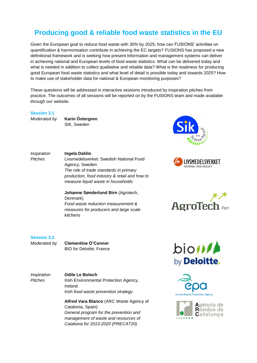### **Producing good & reliable food waste statistics in the EU**

Given the European goal to reduce food waste with 30% by 2025, how can FUSIONS' activities on quantification & harmonisation contribute in achieving the EC targets? FUSIONS has proposed a new definitional framework and is seeking how present information and management systems can deliver in achieving national and European levels of food waste statistics. What can be delivered today and what is needed in addition to collect qualitative and reliable data? What is the readiness for producing good European food waste statistics and what level of detail is possible today and towards 2025? How to make use of stakeholder data for national & European monitoring purposes?

These questions will be addressed in interactive sessions introduced by inspiration pitches from practice. The outcomes of all sessions will be reported on by the FUSIONS team and made available through our website.

#### **Session 3.1**

*Moderated by* **Karin Östergren** SIK, Sweden

*Inspiration Pitches*

### **Ingela Dahlin**

Denmark)

*kitchens*

Livsmedelsverket: Swedish National Food Agency, Sweden *The role of trade standards in primary production, food industry & retail and how to measure liquid waste in households*

**Johanne Sønderlund Birn** (Agrotech,

*Food waste reduction measurement & measures for producers and large scale* 







**Session 3.2**

*Moderated by* **Clementine O'Connor** BIO for Deloitte, France

*Inspiration Pitches*

**Odile Le Boloch**  Irish Environmental Protection Agency, Ireland *Irish food waste prevention strategy*

**Alfred Vara Blanco** (ARC Waste Agency of Catalonia, Spain) *General program for the prevention and management of waste and resources of Catalonia for 2013-2020 (PRECAT20)*





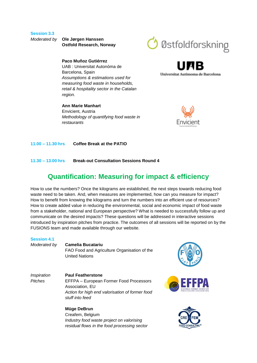#### **Session 3.3**

*Moderated by* **Ole Jørgen Hanssen Ostfold Research, Norway**

#### **Paco Muñoz Gutiérrez**

UAB : Universitat Autonòma de Barcelona, Spain *Assumptions & estimations used for measuring food waste in households, retail & hospitality sector in the Catalan region.*

## **Ann Marie Manhart** Envicient, Austria

*Methodology of quantifying food waste in restaurants*



Universitat Autonoma de Barcelona



**11.00 – 11.30 hrs Coffee Break at the PATIO**

**11.30 – 13.00 hrs Break-out Consultation Sessions Round 4**

### **Quantification: Measuring for impact & efficiency**

How to use the numbers? Once the kilograms are established, the next steps towards reducing food waste need to be taken. And, when measures are implemented, how can you measure for impact? How to benefit from knowing the kilograms and turn the numbers into an efficient use of resources? How to create added value in reducing the environmental, social and economic impact of food waste from a stakeholder, national and European perspective? What is needed to successfully follow up and communicate on the desired impacts? These questions will be addressed in interactive sessions introduced by inspiration pitches from practice. The outcomes of all sessions will be reported on by the FUSIONS team and made available through our website.

#### **Session 4.1**

*Moderated by* **Camelia Bucatariu** FAO Food and Agriculture Organisation of the United Nations

*Inspiration Pitches*

#### **Paul Featherstone** EFFPA – European Former Food Processors Association, EU *Action for high end valorisation of former food stuff into feed*

**Müge DeBrun** Creafem, Belgium *Industry food waste project on valorising residual flows in the food processing sector*





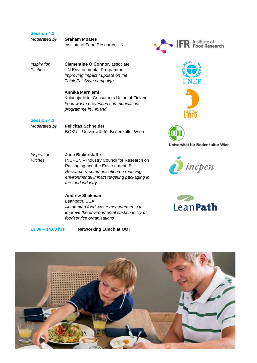| <b>Session 4.2</b> |  |
|--------------------|--|
|                    |  |

| Moderated by | <b>Graham Moates</b>           |  |
|--------------|--------------------------------|--|
|              | Institute of Food Research, UK |  |

*Inspiration Pitches*

**Clementine O'Connor**, associate UN Environmental Programme *Improving impact : update on the Think.Eat.Save campaign*

#### **Annika Marniemi** Kuluttaja-liitto: Consumers Union of Finland *Food waste prevention communications programme in Finland*

#### **Session 4.3**

*Moderated by* **Felicitas Schneider** BOKU – Universität für Bodenkultur Wien

*Inspiration Pitches* **Jane Bickerstaffe** INCPEN – Industry Council for Research on Packaging and the Environment, EU *Research & communication on reducing environmental impact targeting packaging in the food industry*

#### **Andrew Shakman** Leanpath, USA *Automated food waste measurements to improve the environmental sustainability of foodservice organisations*

**13.00 – 14.00 hrs Networking Lunch at OO!**











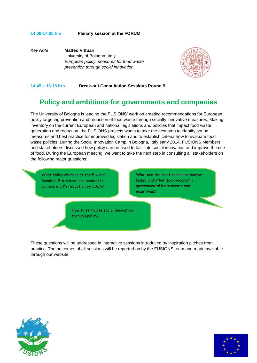#### **14.00-14.35 hrs Plenary session at the FORUM**

*Key Note* **Matteo Vittuari** University of Bologna, Italy *European policy measures for food waste prevention through social innovation*



#### **14.45 – 16.15 hrs Break-out Consultation Sessions Round 5**

### **Policy and ambitions for governments and companies**

The University of Bologna is leading the FUSIONS' work on creating recommendations for European policy targeting prevention and reduction of food waste through socially innovative measures. Making inventory on the current European and national legislations and policies that impact food waste generation and reduction, the FUSIONS projects wants to take the next step to identify sound measures and best practice for improved legislation and to establish criteria how to evaluate food waste policies. During the Social Innovation Camp in Bologna, Italy early 2014, FUSIONS Members and stakeholders discussed how policy can be used to facilitate social innovation and improve the use of food. During the European meeting, we want to take the next step in consulting all stakeholders on the following major questions:

What policy changes at the EU and Member State level are needed to achieve a 30% reduction by 2025?

What are the most promising marketbased and other socio-economic governmental instruments and incentives?

How to stimulate social innovation through policy?

These questions will be addressed in interactive sessions introduced by inspiration pitches from practice. The outcomes of all sessions will be reported on by the FUSIONS team and made available through our website.



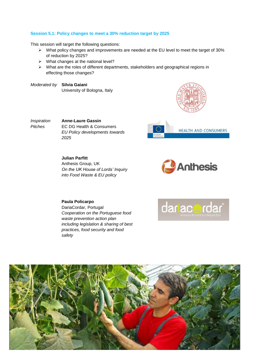#### **Session 5.1: Policy changes to meet a 30% reduction target by 2025**

This session will target the following questions:

- What policy changes and improvements are needed at the EU level to meet the target of 30% of reduction by 2025?
- $\triangleright$  What changes at the national level?
- $\triangleright$  What are the roles of different departments, stakeholders and geographical regions in effecting those changes?
- *Moderated by* **Silvia Gaiani** University of Bologna, Italy



*Inspiration Pitches*

**Anne-Laure Gassin** EC DG Health & Consumers *EU Policy developments towards 2025*



**Julian Parfitt** Anthesis Group, UK *On the UK House of Lords' Inquiry into Food Waste & EU policy*



#### **Paula Policarpo**

DariaCordar, Portugal *Cooperation on the Portuguese food waste prevention action plan including legislation & sharing of best practices, food security and food safety*



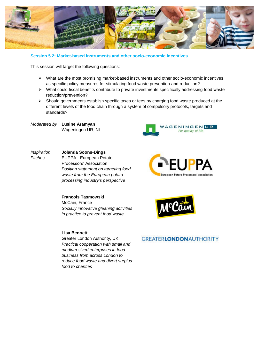

#### **Session 5.2: Market-based instruments and other socio-economic incentives**

This session will target the following questions:

- $\triangleright$  What are the most promising market-based instruments and other socio-economic incentives as specific policy measures for stimulating food waste prevention and reduction?
- What could fiscal benefits contribute to private investments specifically addressing food waste reduction/prevention?
- $\triangleright$  Should governments establish specific taxes or fees by charging food waste produced at the different levels of the food chain through a system of compulsory protocols, targets and standards?

*Moderated by* **Lusine Aramyan** Wageningen UR, NL



#### *Inspiration Pitches* **Jolanda Soons-Dings**  EUPPA - European Potato Processors' Association *Position statement on targeting food waste from the European potato processing industry's perspective*



#### **François Tasmowski**  McCain, France *Socially innovative gleaning activities in practice to prevent food waste*

#### **Lisa Bennett**

Greater London Authority, UK *Practical cooperation with small and medium-sized enterprises in food business from across London to reduce food waste and divert surplus food to charities*



#### **GREATERLONDON AUTHORITY**